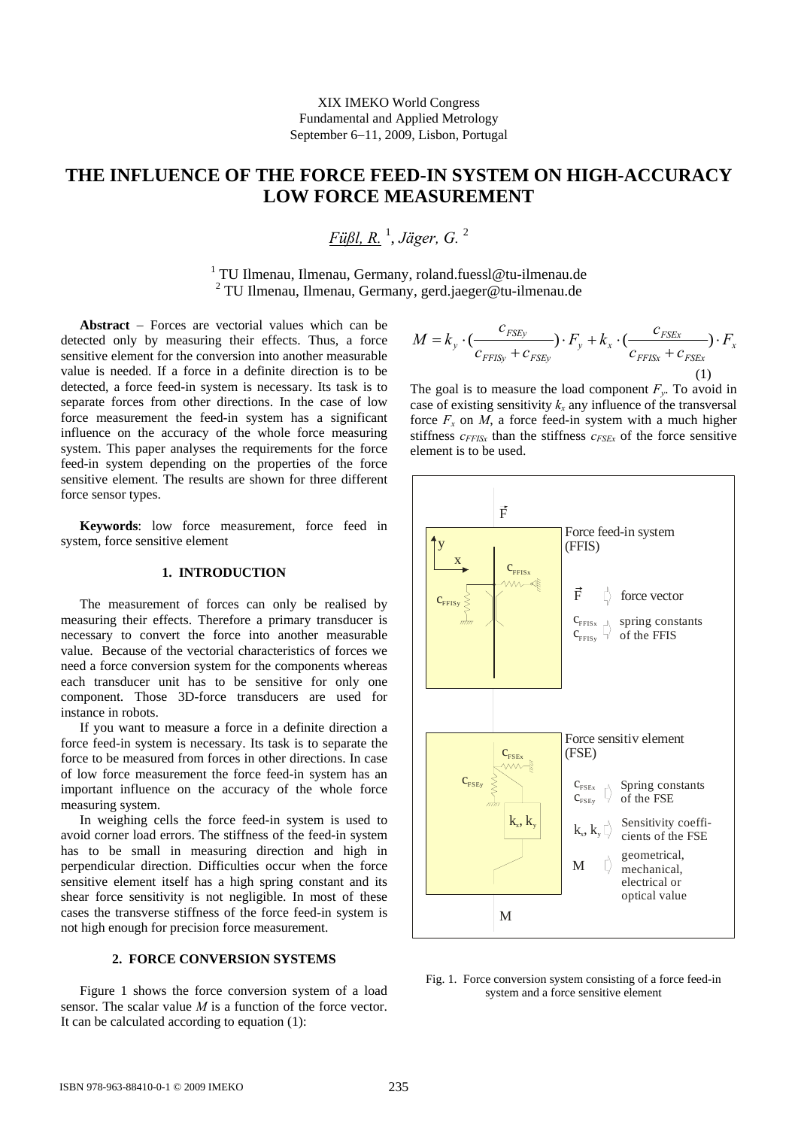# **THE INFLUENCE OF THE FORCE FEED-IN SYSTEM ON HIGH-ACCURACY LOW FORCE MEASUREMENT**

*Füßl, R.* <sup>1</sup> , *Jäger, G.* <sup>2</sup>

1 TU Ilmenau, Ilmenau, Germany, roland.fuessl@tu-ilmenau.de 2 TU Ilmenau, Ilmenau, Germany, gerd.jaeger@tu-ilmenau.de

**Abstract** − Forces are vectorial values which can be detected only by measuring their effects. Thus, a force sensitive element for the conversion into another measurable value is needed. If a force in a definite direction is to be detected, a force feed-in system is necessary. Its task is to separate forces from other directions. In the case of low force measurement the feed-in system has a significant influence on the accuracy of the whole force measuring system. This paper analyses the requirements for the force feed-in system depending on the properties of the force sensitive element. The results are shown for three different force sensor types.

**Keywords**: low force measurement, force feed in system, force sensitive element

# **1. INTRODUCTION**

The measurement of forces can only be realised by measuring their effects. Therefore a primary transducer is necessary to convert the force into another measurable value. Because of the vectorial characteristics of forces we need a force conversion system for the components whereas each transducer unit has to be sensitive for only one component. Those 3D-force transducers are used for instance in robots.

If you want to measure a force in a definite direction a force feed-in system is necessary. Its task is to separate the force to be measured from forces in other directions. In case of low force measurement the force feed-in system has an important influence on the accuracy of the whole force measuring system.

In weighing cells the force feed-in system is used to avoid corner load errors. The stiffness of the feed-in system has to be small in measuring direction and high in perpendicular direction. Difficulties occur when the force sensitive element itself has a high spring constant and its shear force sensitivity is not negligible. In most of these cases the transverse stiffness of the force feed-in system is not high enough for precision force measurement.

# **2. FORCE CONVERSION SYSTEMS**

Figure 1 shows the force conversion system of a load sensor. The scalar value *M* is a function of the force vector. It can be calculated according to equation (1):

$$
M = k_y \cdot \left(\frac{c_{FSEy}}{c_{FFISy} + c_{FSEy}}\right) \cdot F_y + k_x \cdot \left(\frac{c_{FSEx}}{c_{FFISx} + c_{FSEx}}\right) \cdot F_x
$$
\n(1)

The goal is to measure the load component  $F_v$ . To avoid in case of existing sensitivity  $k_x$  any influence of the transversal force  $F_r$  on *M*, a force feed-in system with a much higher stiffness  $c_{FFISx}$  than the stiffness  $c_{FSEx}$  of the force sensitive element is to be used.



Fig. 1. Force conversion system consisting of a force feed-in system and a force sensitive element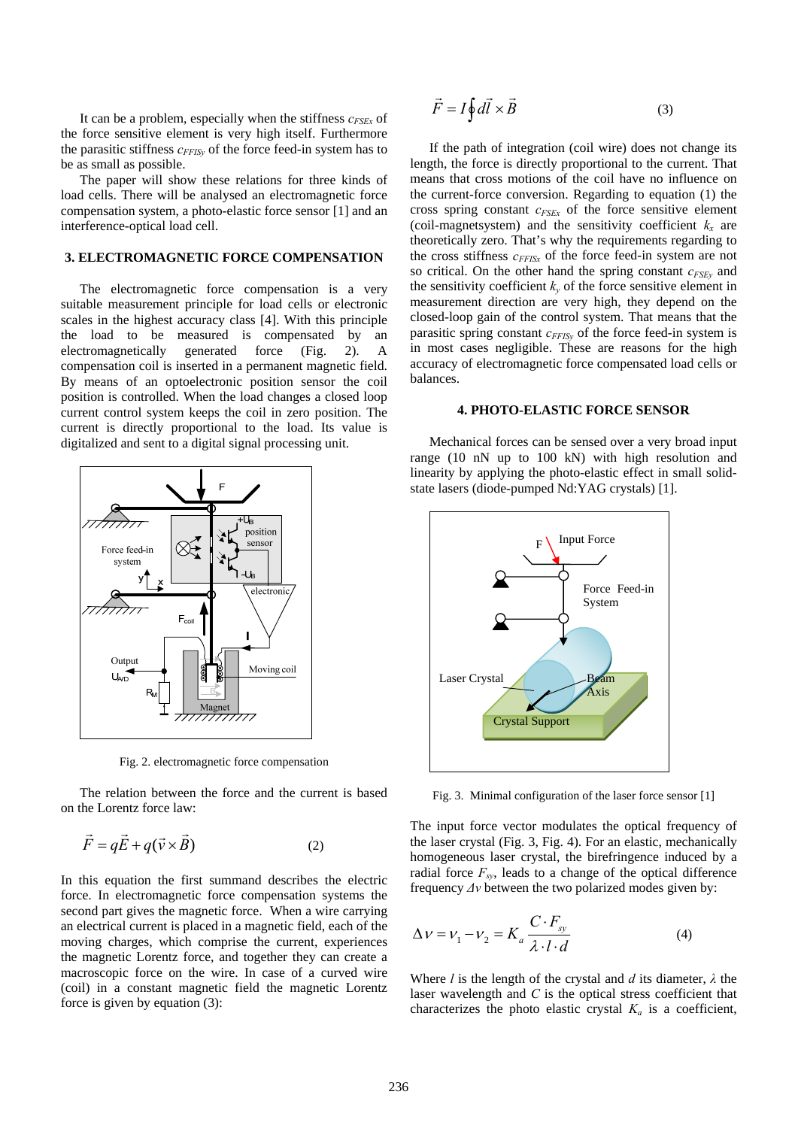It can be a problem, especially when the stiffness  $c_{FSEx}$  of the force sensitive element is very high itself. Furthermore the parasitic stiffness  $c_{FFISv}$  of the force feed-in system has to be as small as possible.

The paper will show these relations for three kinds of load cells. There will be analysed an electromagnetic force compensation system, a photo-elastic force sensor [1] and an interference-optical load cell.

# **3. ELECTROMAGNETIC FORCE COMPENSATION**

The electromagnetic force compensation is a very suitable measurement principle for load cells or electronic scales in the highest accuracy class [4]. With this principle the load to be measured is compensated by an electromagnetically generated force (Fig. 2). A compensation coil is inserted in a permanent magnetic field. By means of an optoelectronic position sensor the coil position is controlled. When the load changes a closed loop current control system keeps the coil in zero position. The current is directly proportional to the load. Its value is digitalized and sent to a digital signal processing unit.



Fig. 2. electromagnetic force compensation

The relation between the force and the current is based on the Lorentz force law:

$$
\vec{F} = q\vec{E} + q(\vec{v} \times \vec{B})
$$
 (2)

In this equation the first summand describes the electric force. In electromagnetic force compensation systems the second part gives the magnetic force. When a wire carrying an electrical current is placed in a magnetic field, each of the moving charges, which comprise the current, experiences the magnetic Lorentz force, and together they can create a macroscopic force on the wire. In case of a curved wire (coil) in a constant magnetic field the magnetic Lorentz force is given by equation (3):

$$
\vec{F} = I \oint d\vec{l} \times \vec{B} \tag{3}
$$

If the path of integration (coil wire) does not change its length, the force is directly proportional to the current. That means that cross motions of the coil have no influence on the current-force conversion. Regarding to equation (1) the cross spring constant *cFSEx* of the force sensitive element (coil-magnetsystem) and the sensitivity coefficient  $k_x$  are theoretically zero. That's why the requirements regarding to the cross stiffness  $c_{FFISx}$  of the force feed-in system are not so critical. On the other hand the spring constant  $c_{FSEV}$  and the sensitivity coefficient  $k<sub>v</sub>$  of the force sensitive element in measurement direction are very high, they depend on the closed-loop gain of the control system. That means that the parasitic spring constant  $c_{FFISv}$  of the force feed-in system is in most cases negligible. These are reasons for the high accuracy of electromagnetic force compensated load cells or balances.

#### **4. PHOTO-ELASTIC FORCE SENSOR**

Mechanical forces can be sensed over a very broad input range (10 nN up to 100 kN) with high resolution and linearity by applying the photo-elastic effect in small solidstate lasers (diode-pumped Nd:YAG crystals) [1].



Fig. 3. Minimal configuration of the laser force sensor [1]

The input force vector modulates the optical frequency of the laser crystal (Fig. 3, Fig. 4). For an elastic, mechanically homogeneous laser crystal, the birefringence induced by a radial force  $F_{sy}$ , leads to a change of the optical difference frequency *Δν* between the two polarized modes given by:

$$
\Delta v = v_1 - v_2 = K_a \frac{C \cdot F_{sy}}{\lambda \cdot l \cdot d} \tag{4}
$$

Where *l* is the length of the crystal and *d* its diameter, *λ* the laser wavelength and *C* is the optical stress coefficient that characterizes the photo elastic crystal  $K_a$  is a coefficient,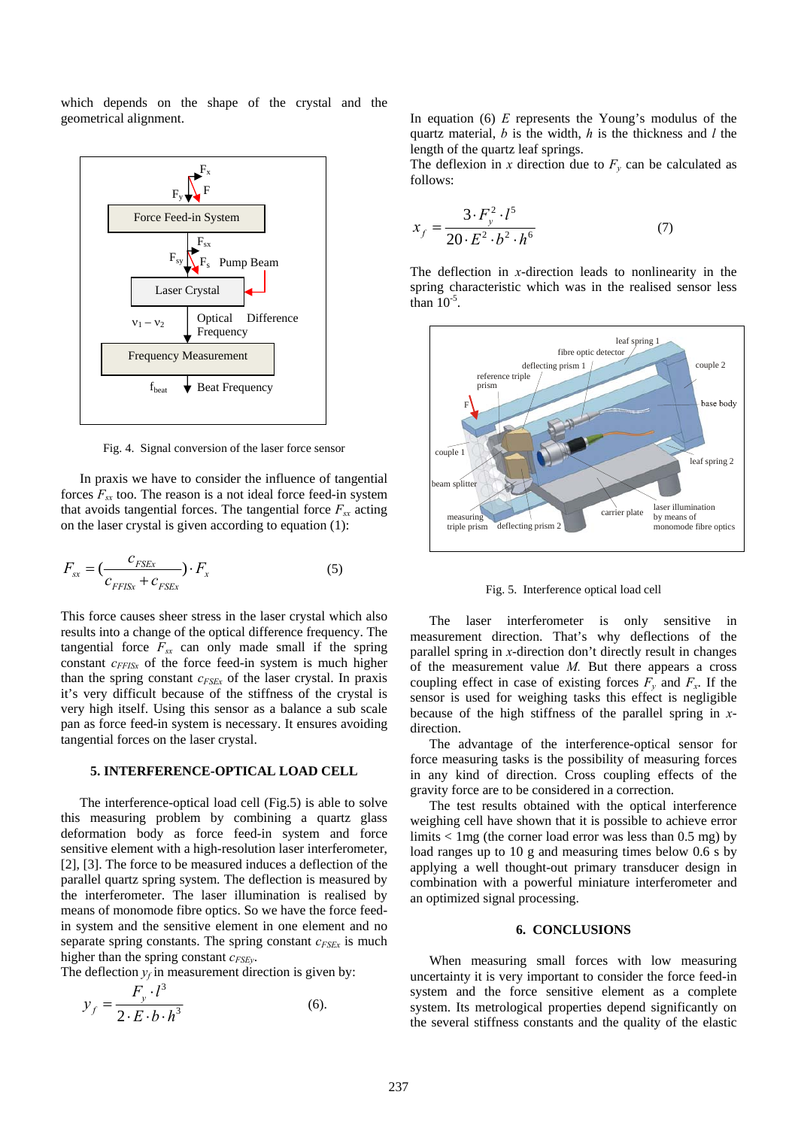which depends on the shape of the crystal and the geometrical alignment.



Fig. 4. Signal conversion of the laser force sensor

 In praxis we have to consider the influence of tangential forces  $F_{sx}$  too. The reason is a not ideal force feed-in system that avoids tangential forces. The tangential force  $F_{sx}$  acting on the laser crystal is given according to equation (1):

$$
F_{sx} = \left(\frac{c_{FSEx}}{c_{FFISx} + c_{FSEx}}\right) \cdot F_x \tag{5}
$$

This force causes sheer stress in the laser crystal which also results into a change of the optical difference frequency. The tangential force  $F_{sx}$  can only made small if the spring constant  $c_{FFISx}$  of the force feed-in system is much higher than the spring constant  $c_{FSEx}$  of the laser crystal. In praxis it's very difficult because of the stiffness of the crystal is very high itself. Using this sensor as a balance a sub scale pan as force feed-in system is necessary. It ensures avoiding tangential forces on the laser crystal.

# **5. INTERFERENCE-OPTICAL LOAD CELL**

The interference-optical load cell (Fig.5) is able to solve this measuring problem by combining a quartz glass deformation body as force feed-in system and force sensitive element with a high-resolution laser interferometer, [2], [3]. The force to be measured induces a deflection of the parallel quartz spring system. The deflection is measured by the interferometer. The laser illumination is realised by means of monomode fibre optics. So we have the force feedin system and the sensitive element in one element and no separate spring constants. The spring constant  $c_{FSEx}$  is much higher than the spring constant  $c_{FSEv}$ .

The deflection  $y_f$  in measurement direction is given by:

$$
y_f = \frac{F_y \cdot l^3}{2 \cdot E \cdot b \cdot h^3} \tag{6}
$$

In equation (6) *E* represents the Young's modulus of the quartz material, *b* is the width, *h* is the thickness and *l* the length of the quartz leaf springs.

The deflexion in *x* direction due to  $F_v$  can be calculated as follows:

$$
x_f = \frac{3 \cdot F_y^2 \cdot l^5}{20 \cdot E^2 \cdot b^2 \cdot h^6} \tag{7}
$$

The deflection in *x*-direction leads to nonlinearity in the spring characteristic which was in the realised sensor less than  $10^{-5}$ .



Fig. 5. Interference optical load cell

The laser interferometer is only sensitive in measurement direction. That's why deflections of the parallel spring in *x*-direction don't directly result in changes of the measurement value *M.* But there appears a cross coupling effect in case of existing forces  $F_v$  and  $F_x$ . If the sensor is used for weighing tasks this effect is negligible because of the high stiffness of the parallel spring in *x*direction.

The advantage of the interference-optical sensor for force measuring tasks is the possibility of measuring forces in any kind of direction. Cross coupling effects of the gravity force are to be considered in a correction.

The test results obtained with the optical interference weighing cell have shown that it is possible to achieve error limits  $<$  1mg (the corner load error was less than 0.5 mg) by load ranges up to 10 g and measuring times below 0.6 s by applying a well thought-out primary transducer design in combination with a powerful miniature interferometer and an optimized signal processing.

### **6. CONCLUSIONS**

When measuring small forces with low measuring uncertainty it is very important to consider the force feed-in system and the force sensitive element as a complete system. Its metrological properties depend significantly on the several stiffness constants and the quality of the elastic